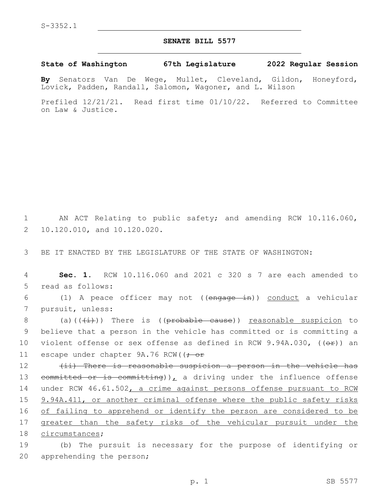## **SENATE BILL 5577**

## **State of Washington 67th Legislature 2022 Regular Session**

**By** Senators Van De Wege, Mullet, Cleveland, Gildon, Honeyford, Lovick, Padden, Randall, Salomon, Wagoner, and L. Wilson

Prefiled 12/21/21. Read first time 01/10/22. Referred to Committee on Law & Justice.

1 AN ACT Relating to public safety; and amending RCW 10.116.060, 2 10.120.010, and 10.120.020.

3 BE IT ENACTED BY THE LEGISLATURE OF THE STATE OF WASHINGTON:

4 **Sec. 1.** RCW 10.116.060 and 2021 c 320 s 7 are each amended to 5 read as follows:

6 (1) A peace officer may not ((engage in)) conduct a vehicular 7 pursuit, unless:

8 (a)( $(\frac{1}{i})$ ) There is (( $\frac{1}{i}$ ) reasonable suspicion to 9 believe that a person in the vehicle has committed or is committing a 10 violent offense or sex offense as defined in RCW 9.94A.030,  $((\theta \cdot \hat{r}))$  an 11 escape under chapter 9A.76 RCW(( $\div$  or

12 (ii) There is reasonable suspicion a person in the vehicle has 13 committed or is committing)), a driving under the influence offense 14 under RCW 46.61.502, a crime against persons offense pursuant to RCW 15 9.94A.411, or another criminal offense where the public safety risks 16 of failing to apprehend or identify the person are considered to be 17 greater than the safety risks of the vehicular pursuit under the 18 circumstances;

19 (b) The pursuit is necessary for the purpose of identifying or 20 apprehending the person;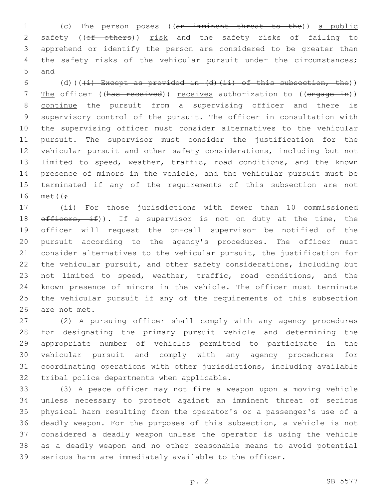(c) The person poses ((an imminent threat to the)) a public 2 safety ((of others)) risk and the safety risks of failing to apprehend or identify the person are considered to be greater than 4 the safety risks of the vehicular pursuit under the circumstances; 5 and

6 (d)( $(\frac{1}{1})$  Except as provided in (d)(ii) of this subsection, the)) 7 The officer ((has received)) receives authorization to ((engage in)) continue the pursuit from a supervising officer and there is supervisory control of the pursuit. The officer in consultation with the supervising officer must consider alternatives to the vehicular pursuit. The supervisor must consider the justification for the vehicular pursuit and other safety considerations, including but not limited to speed, weather, traffic, road conditions, and the known presence of minors in the vehicle, and the vehicular pursuit must be terminated if any of the requirements of this subsection are not 16 met $(f$ :

 (ii) For those jurisdictions with fewer than 10 commissioned  $\theta$  of ficers, if)). If a supervisor is not on duty at the time, the officer will request the on-call supervisor be notified of the pursuit according to the agency's procedures. The officer must consider alternatives to the vehicular pursuit, the justification for the vehicular pursuit, and other safety considerations, including but not limited to speed, weather, traffic, road conditions, and the known presence of minors in the vehicle. The officer must terminate the vehicular pursuit if any of the requirements of this subsection 26 are not met.

 (2) A pursuing officer shall comply with any agency procedures for designating the primary pursuit vehicle and determining the appropriate number of vehicles permitted to participate in the vehicular pursuit and comply with any agency procedures for coordinating operations with other jurisdictions, including available 32 tribal police departments when applicable.

 (3) A peace officer may not fire a weapon upon a moving vehicle unless necessary to protect against an imminent threat of serious physical harm resulting from the operator's or a passenger's use of a deadly weapon. For the purposes of this subsection, a vehicle is not considered a deadly weapon unless the operator is using the vehicle as a deadly weapon and no other reasonable means to avoid potential serious harm are immediately available to the officer.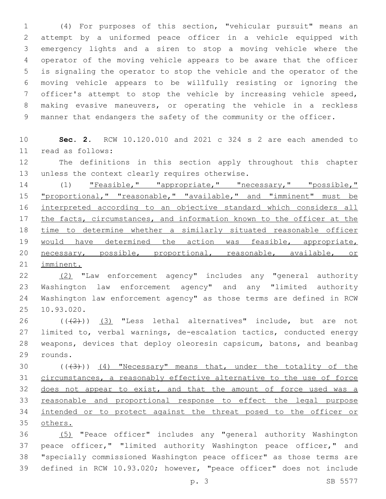(4) For purposes of this section, "vehicular pursuit" means an attempt by a uniformed peace officer in a vehicle equipped with emergency lights and a siren to stop a moving vehicle where the operator of the moving vehicle appears to be aware that the officer is signaling the operator to stop the vehicle and the operator of the moving vehicle appears to be willfully resisting or ignoring the officer's attempt to stop the vehicle by increasing vehicle speed, making evasive maneuvers, or operating the vehicle in a reckless manner that endangers the safety of the community or the officer.

 **Sec. 2.** RCW 10.120.010 and 2021 c 324 s 2 are each amended to read as follows:11

 The definitions in this section apply throughout this chapter 13 unless the context clearly requires otherwise.

14 (1) "Feasible," "appropriate," "necessary," "possible," 15 "proportional," "reasonable," "available," and "imminent" must be interpreted according to an objective standard which considers all the facts, circumstances, and information known to the officer at the time to determine whether a similarly situated reasonable officer 19 would have determined the action was feasible, appropriate, necessary, possible, proportional, reasonable, available, or imminent.

 (2) "Law enforcement agency" includes any "general authority Washington law enforcement agency" and any "limited authority Washington law enforcement agency" as those terms are defined in RCW 25 10.93.020.

 $((+2+))$   $(3)$  "Less lethal alternatives" include, but are not limited to, verbal warnings, de-escalation tactics, conducted energy weapons, devices that deploy oleoresin capsicum, batons, and beanbag 29 rounds.

 $((+3))$   $(4)$  "Necessary" means that, under the totality of the circumstances, a reasonably effective alternative to the use of force 32 does not appear to exist, and that the amount of force used was a reasonable and proportional response to effect the legal purpose intended or to protect against the threat posed to the officer or others.

 (5) "Peace officer" includes any "general authority Washington 37 peace officer," "limited authority Washington peace officer," and "specially commissioned Washington peace officer" as those terms are defined in RCW 10.93.020; however, "peace officer" does not include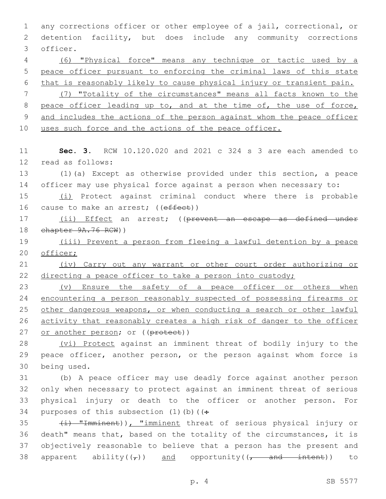1 any corrections officer or other employee of a jail, correctional, or 2 detention facility, but does include any community corrections 3 officer. 4 (6) "Physical force" means any technique or tactic used by a 5 peace officer pursuant to enforcing the criminal laws of this state 6 that is reasonably likely to cause physical injury or transient pain. 7 (7) "Totality of the circumstances" means all facts known to the 8 peace officer leading up to, and at the time of, the use of force, 9 and includes the actions of the person against whom the peace officer 10 uses such force and the actions of the peace officer. 11 **Sec. 3.** RCW 10.120.020 and 2021 c 324 s 3 are each amended to 12 read as follows: 13 (1)(a) Except as otherwise provided under this section, a peace 14 officer may use physical force against a person when necessary to: 15 (i) Protect against criminal conduct where there is probable 16 cause to make an arrest; ((effect)) 17 (ii) Effect an arrest; ((prevent an escape as defined under 18 chapter 9A.76 RCW)) 19 (iii) Prevent a person from fleeing a lawful detention by a peace 20 officer; 21 (iv) Carry out any warrant or other court order authorizing or 22 directing a peace officer to take a person into custody; 23 (v) Ensure the safety of a peace officer or others when 24 encountering a person reasonably suspected of possessing firearms or 25 other dangerous weapons, or when conducting a search or other lawful 26 activity that reasonably creates a high risk of danger to the officer 27 or another person; or ((protect)) 28 (vi) Protect against an imminent threat of bodily injury to the 29 peace officer, another person, or the person against whom force is 30 being used. 31 (b) A peace officer may use deadly force against another person 32 only when necessary to protect against an imminent threat of serious 33 physical injury or death to the officer or another person. For 34 purposes of this subsection  $(1)$  (b) ( $($ : 35 (i) "Imminent)), "imminent threat of serious physical injury or 36 death" means that, based on the totality of the circumstances, it is 37 objectively reasonable to believe that a person has the present and 38 apparent ability( $(\tau)$ ) and opportunity( $(\tau$  and intent)) to

p. 4 SB 5577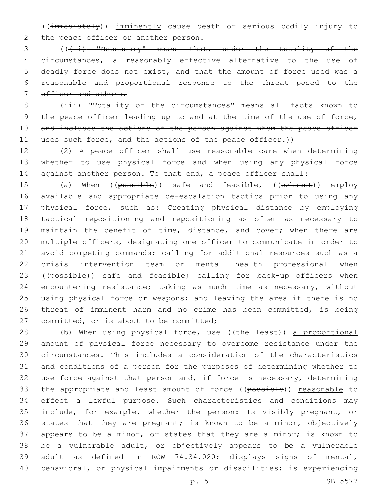((immediately)) imminently cause death or serious bodily injury to 2 the peace officer or another person.

3 (((ii) "Necessary" means that, under the totality of the circumstances, a reasonably effective alternative to the use of deadly force does not exist, and that the amount of force used was a reasonable and proportional response to the threat posed to the 7 officer and others.

8 (iii) "Totality of the circumstances" means all facts known to 9 the peace officer leading up to and at the time of the use of force, 10 and includes the actions of the person against whom the peace officer 11 uses such force, and the actions of the peace officer.))

 (2) A peace officer shall use reasonable care when determining whether to use physical force and when using any physical force against another person. To that end, a peace officer shall:

15 (a) When ((possible)) safe and feasible, ((exhaust)) employ available and appropriate de-escalation tactics prior to using any physical force, such as: Creating physical distance by employing tactical repositioning and repositioning as often as necessary to 19 maintain the benefit of time, distance, and cover; when there are multiple officers, designating one officer to communicate in order to avoid competing commands; calling for additional resources such as a crisis intervention team or mental health professional when 23 ((possible)) safe and feasible; calling for back-up officers when encountering resistance; taking as much time as necessary, without using physical force or weapons; and leaving the area if there is no threat of imminent harm and no crime has been committed, is being 27 committed, or is about to be committed;

28 (b) When using physical force, use ((the least)) a proportional amount of physical force necessary to overcome resistance under the circumstances. This includes a consideration of the characteristics and conditions of a person for the purposes of determining whether to use force against that person and, if force is necessary, determining 33 the appropriate and least amount of force ((possible)) reasonable to effect a lawful purpose. Such characteristics and conditions may include, for example, whether the person: Is visibly pregnant, or states that they are pregnant; is known to be a minor, objectively 37 appears to be a minor, or states that they are a minor; is known to be a vulnerable adult, or objectively appears to be a vulnerable adult as defined in RCW 74.34.020; displays signs of mental, behavioral, or physical impairments or disabilities; is experiencing

p. 5 SB 5577